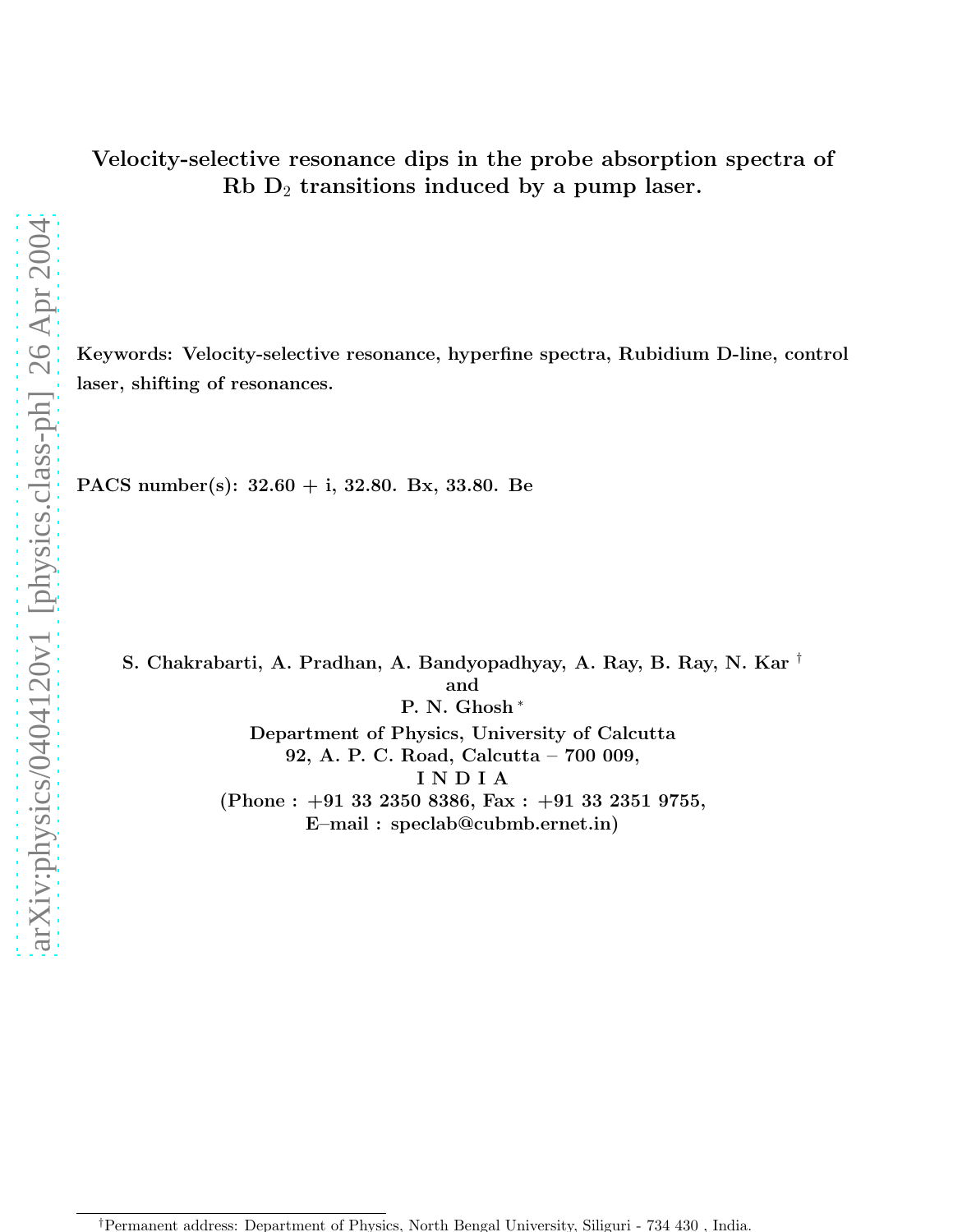Keywords: Velocity-selective resonance, hyperfine spectra, Rubidium D-line, control laser, shifting of resonances.

PACS number(s): 32.60 + i, 32.80. Bx, 33.80. Be

S. Chakrabarti, A. Pradhan, A. Bandyopadhyay, A. Ray, B. Ray, N. Kar † and P. N. Ghosh <sup>∗</sup> Department of Physics, University of Calcutta 92, A. P. C. Road, Calcutta – 700 009, I N D I A  $(Phone: +91 33 2350 8386, Fax: +91 33 2351 9755,$ E–mail : speclab@cubmb.ernet.in)

<sup>†</sup>Permanent address: Department of Physics, North Bengal University, Siliguri - 734 430 , India.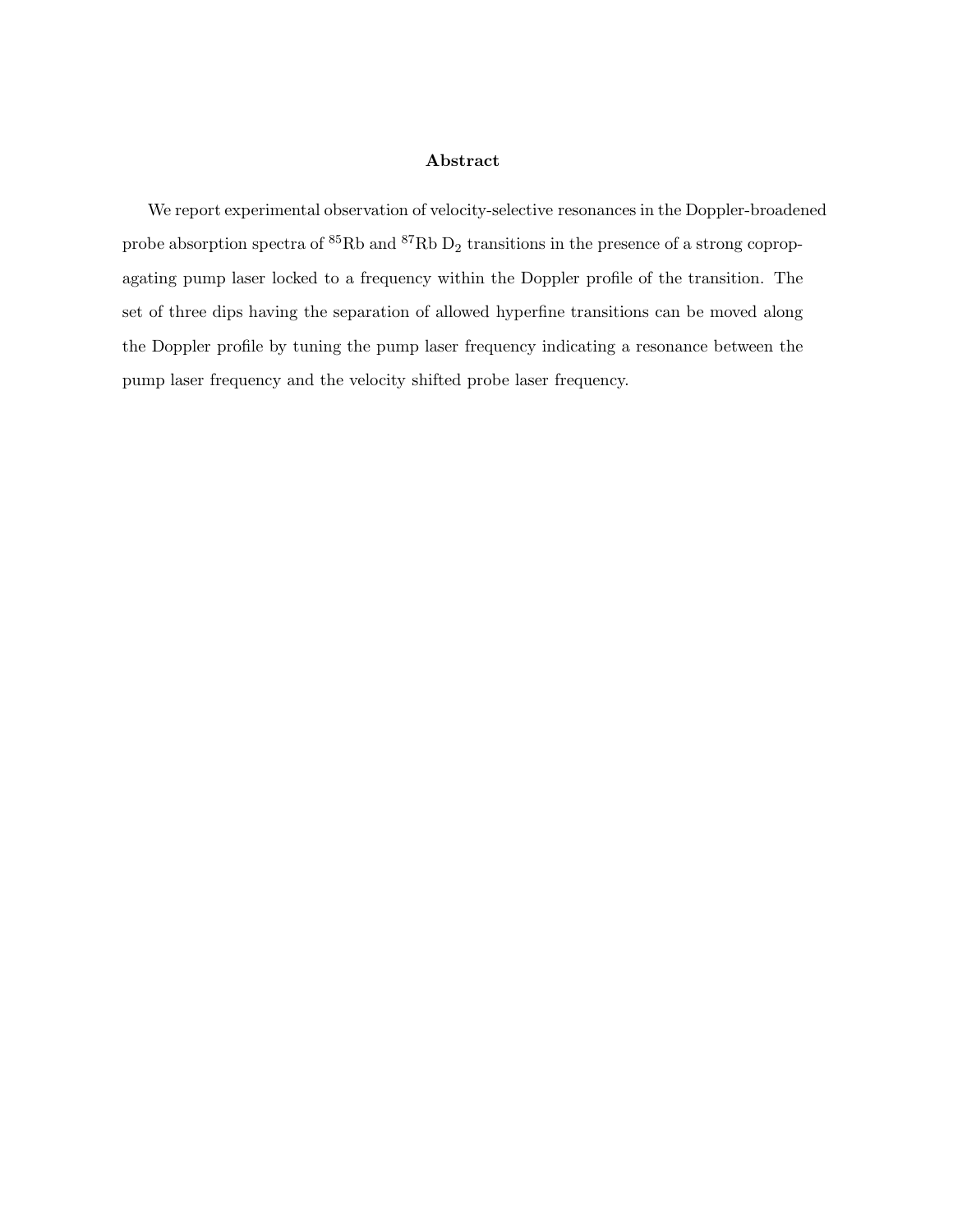## Abstract

We report experimental observation of velocity-selective resonances in the Doppler-broadened probe absorption spectra of  ${}^{85}\text{Rb}$  and  ${}^{87}\text{Rb}$  D<sub>2</sub> transitions in the presence of a strong copropagating pump laser locked to a frequency within the Doppler profile of the transition. The set of three dips having the separation of allowed hyperfine transitions can be moved along the Doppler profile by tuning the pump laser frequency indicating a resonance between the pump laser frequency and the velocity shifted probe laser frequency.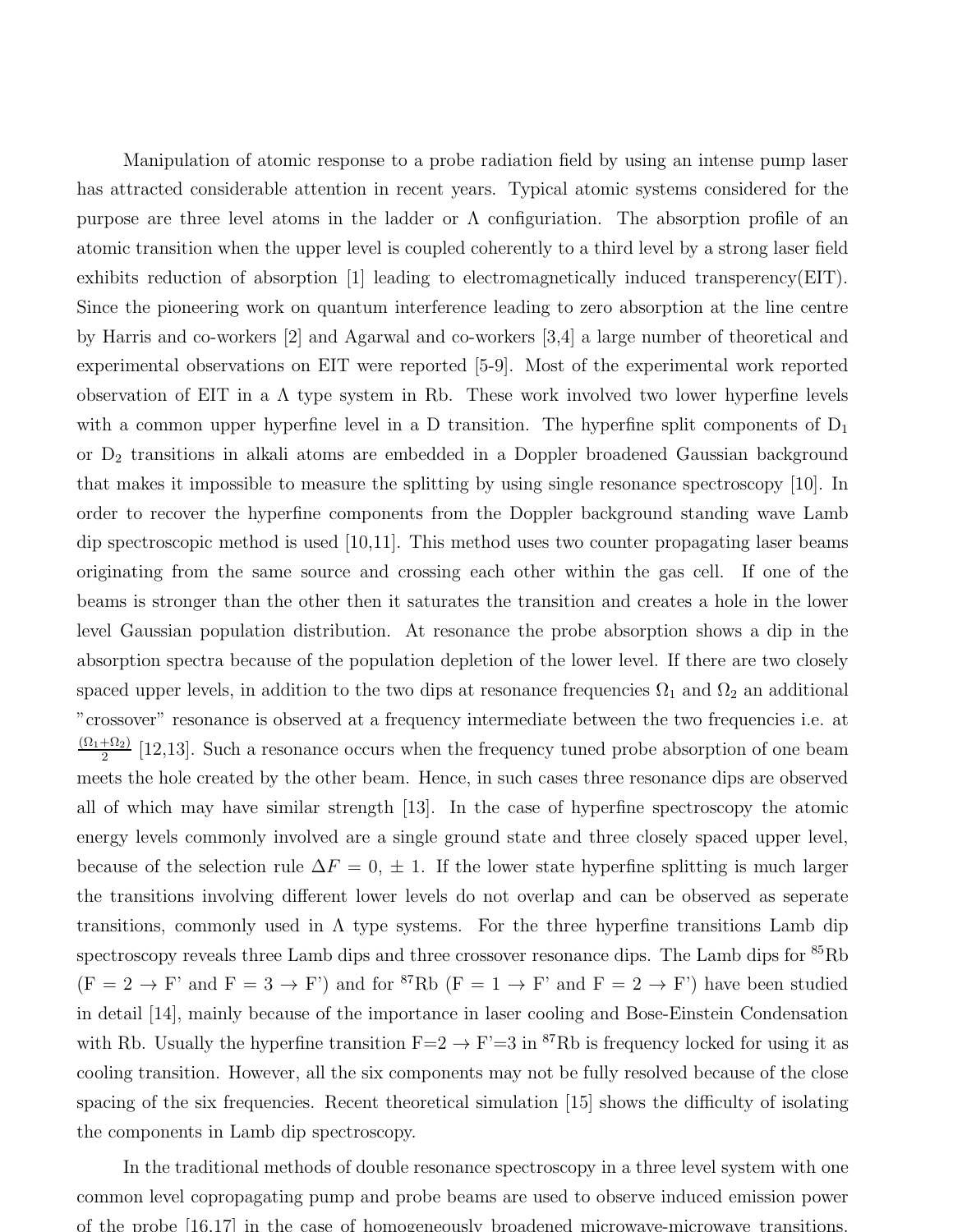Manipulation of atomic response to a probe radiation field by using an intense pump laser has attracted considerable attention in recent years. Typical atomic systems considered for the purpose are three level atoms in the ladder or  $\Lambda$  configuriation. The absorption profile of an atomic transition when the upper level is coupled coherently to a third level by a strong laser field exhibits reduction of absorption [1] leading to electromagnetically induced transperency(EIT). Since the pioneering work on quantum interference leading to zero absorption at the line centre by Harris and co-workers [2] and Agarwal and co-workers [3,4] a large number of theoretical and experimental observations on EIT were reported [5-9]. Most of the experimental work reported observation of EIT in a  $\Lambda$  type system in Rb. These work involved two lower hyperfine levels with a common upper hyperfine level in a D transition. The hyperfine split components of  $D_1$ or D<sup>2</sup> transitions in alkali atoms are embedded in a Doppler broadened Gaussian background that makes it impossible to measure the splitting by using single resonance spectroscopy [10]. In order to recover the hyperfine components from the Doppler background standing wave Lamb dip spectroscopic method is used [10,11]. This method uses two counter propagating laser beams originating from the same source and crossing each other within the gas cell. If one of the beams is stronger than the other then it saturates the transition and creates a hole in the lower level Gaussian population distribution. At resonance the probe absorption shows a dip in the absorption spectra because of the population depletion of the lower level. If there are two closely spaced upper levels, in addition to the two dips at resonance frequencies  $\Omega_1$  and  $\Omega_2$  an additional "crossover" resonance is observed at a frequency intermediate between the two frequencies i.e. at  $(\Omega_1+\Omega_2)$  $\frac{+12}{2}$  [12,13]. Such a resonance occurs when the frequency tuned probe absorption of one beam meets the hole created by the other beam. Hence, in such cases three resonance dips are observed all of which may have similar strength [13]. In the case of hyperfine spectroscopy the atomic energy levels commonly involved are a single ground state and three closely spaced upper level, because of the selection rule  $\Delta F = 0, \pm 1$ . If the lower state hyperfine splitting is much larger the transitions involving different lower levels do not overlap and can be observed as seperate transitions, commonly used in  $\Lambda$  type systems. For the three hyperfine transitions Lamb dip spectroscopy reveals three Lamb dips and three crossover resonance dips. The Lamb dips for <sup>85</sup>Rb  $(F = 2 \rightarrow F'$  and  $F = 3 \rightarrow F'$ ) and for <sup>87</sup>Rb  $(F = 1 \rightarrow F'$  and  $F = 2 \rightarrow F'$ ) have been studied in detail [14], mainly because of the importance in laser cooling and Bose-Einstein Condensation with Rb. Usually the hyperfine transition  $F=2 \rightarrow F'=3$  in <sup>87</sup>Rb is frequency locked for using it as cooling transition. However, all the six components may not be fully resolved because of the close spacing of the six frequencies. Recent theoretical simulation [15] shows the difficulty of isolating the components in Lamb dip spectroscopy.

In the traditional methods of double resonance spectroscopy in a three level system with one common level copropagating pump and probe beams are used to observe induced emission power of the probe [16,17] in the case of homogeneously broadened microwave-microwave transitions.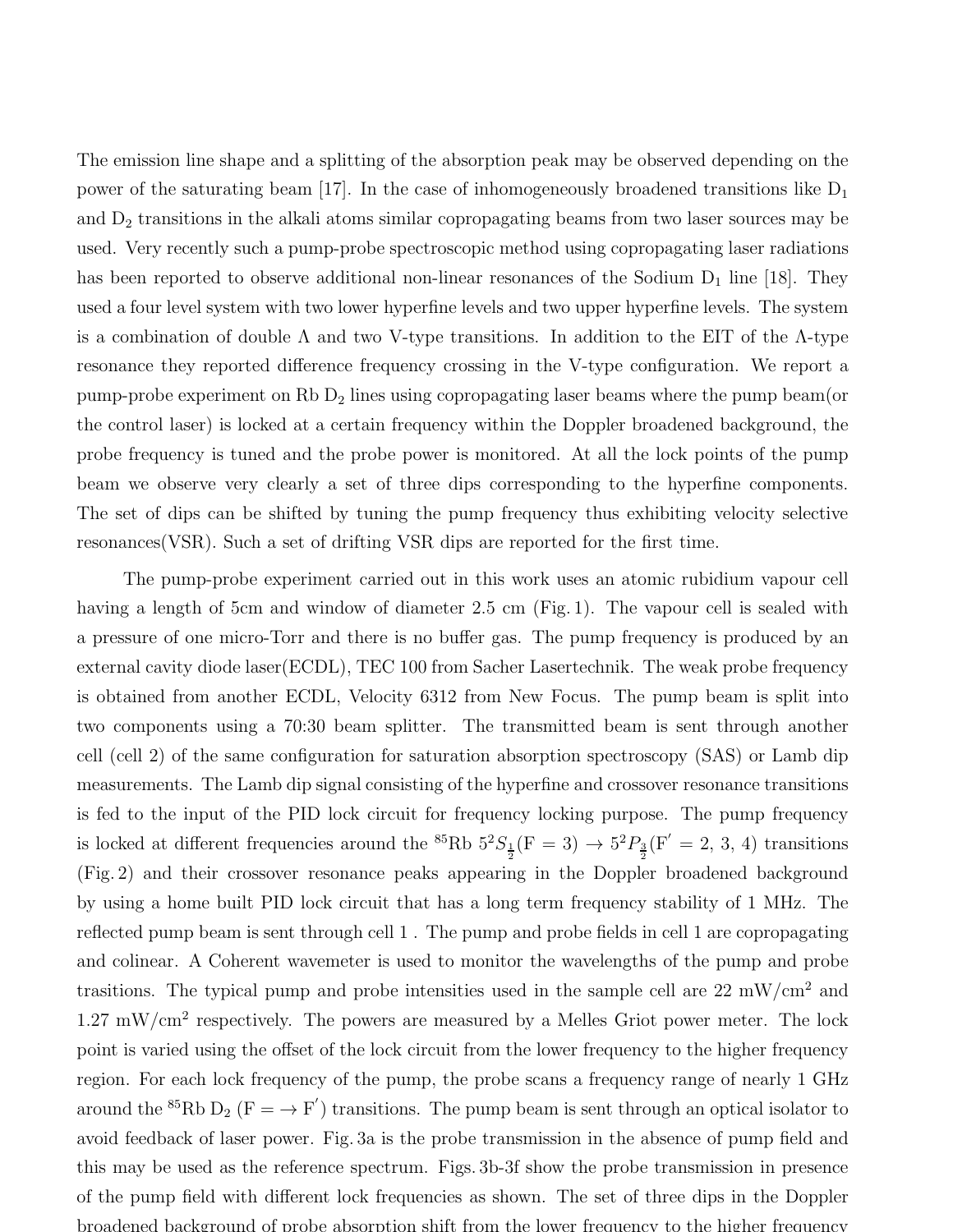The emission line shape and a splitting of the absorption peak may be observed depending on the power of the saturating beam [17]. In the case of inhomogeneously broadened transitions like  $D_1$ and D<sup>2</sup> transitions in the alkali atoms similar copropagating beams from two laser sources may be used. Very recently such a pump-probe spectroscopic method using copropagating laser radiations has been reported to observe additional non-linear resonances of the Sodium  $D_1$  line [18]. They used a four level system with two lower hyperfine levels and two upper hyperfine levels. The system is a combination of double  $\Lambda$  and two V-type transitions. In addition to the EIT of the  $\Lambda$ -type resonance they reported difference frequency crossing in the V-type configuration. We report a pump-probe experiment on Rb D<sup>2</sup> lines using copropagating laser beams where the pump beam(or the control laser) is locked at a certain frequency within the Doppler broadened background, the probe frequency is tuned and the probe power is monitored. At all the lock points of the pump beam we observe very clearly a set of three dips corresponding to the hyperfine components. The set of dips can be shifted by tuning the pump frequency thus exhibiting velocity selective resonances(VSR). Such a set of drifting VSR dips are reported for the first time.

The pump-probe experiment carried out in this work uses an atomic rubidium vapour cell having a length of 5cm and window of diameter 2.5 cm (Fig. 1). The vapour cell is sealed with a pressure of one micro-Torr and there is no buffer gas. The pump frequency is produced by an external cavity diode laser(ECDL), TEC 100 from Sacher Lasertechnik. The weak probe frequency is obtained from another ECDL, Velocity 6312 from New Focus. The pump beam is split into two components using a 70:30 beam splitter. The transmitted beam is sent through another cell (cell 2) of the same configuration for saturation absorption spectroscopy (SAS) or Lamb dip measurements. The Lamb dip signal consisting of the hyperfine and crossover resonance transitions is fed to the input of the PID lock circuit for frequency locking purpose. The pump frequency is locked at different frequencies around the <sup>85</sup>Rb  $5^{2}S_{\frac{1}{2}}(F=3) \rightarrow 5^{2}P_{\frac{3}{2}}(F'=2, 3, 4)$  transitions (Fig. 2) and their crossover resonance peaks appearing in the Doppler broadened background by using a home built PID lock circuit that has a long term frequency stability of 1 MHz. The reflected pump beam is sent through cell 1 . The pump and probe fields in cell 1 are copropagating and colinear. A Coherent wavemeter is used to monitor the wavelengths of the pump and probe trasitions. The typical pump and probe intensities used in the sample cell are 22 mW/cm<sup>2</sup> and  $1.27 \text{ mW/cm}^2$  respectively. The powers are measured by a Melles Griot power meter. The lock point is varied using the offset of the lock circuit from the lower frequency to the higher frequency region. For each lock frequency of the pump, the probe scans a frequency range of nearly 1 GHz around the <sup>85</sup>Rb D<sub>2</sub> (F =  $\rightarrow$  F') transitions. The pump beam is sent through an optical isolator to avoid feedback of laser power. Fig. 3a is the probe transmission in the absence of pump field and this may be used as the reference spectrum. Figs. 3b-3f show the probe transmission in presence of the pump field with different lock frequencies as shown. The set of three dips in the Doppler broadened background of probe absorption shift from the lower frequency to the higher frequency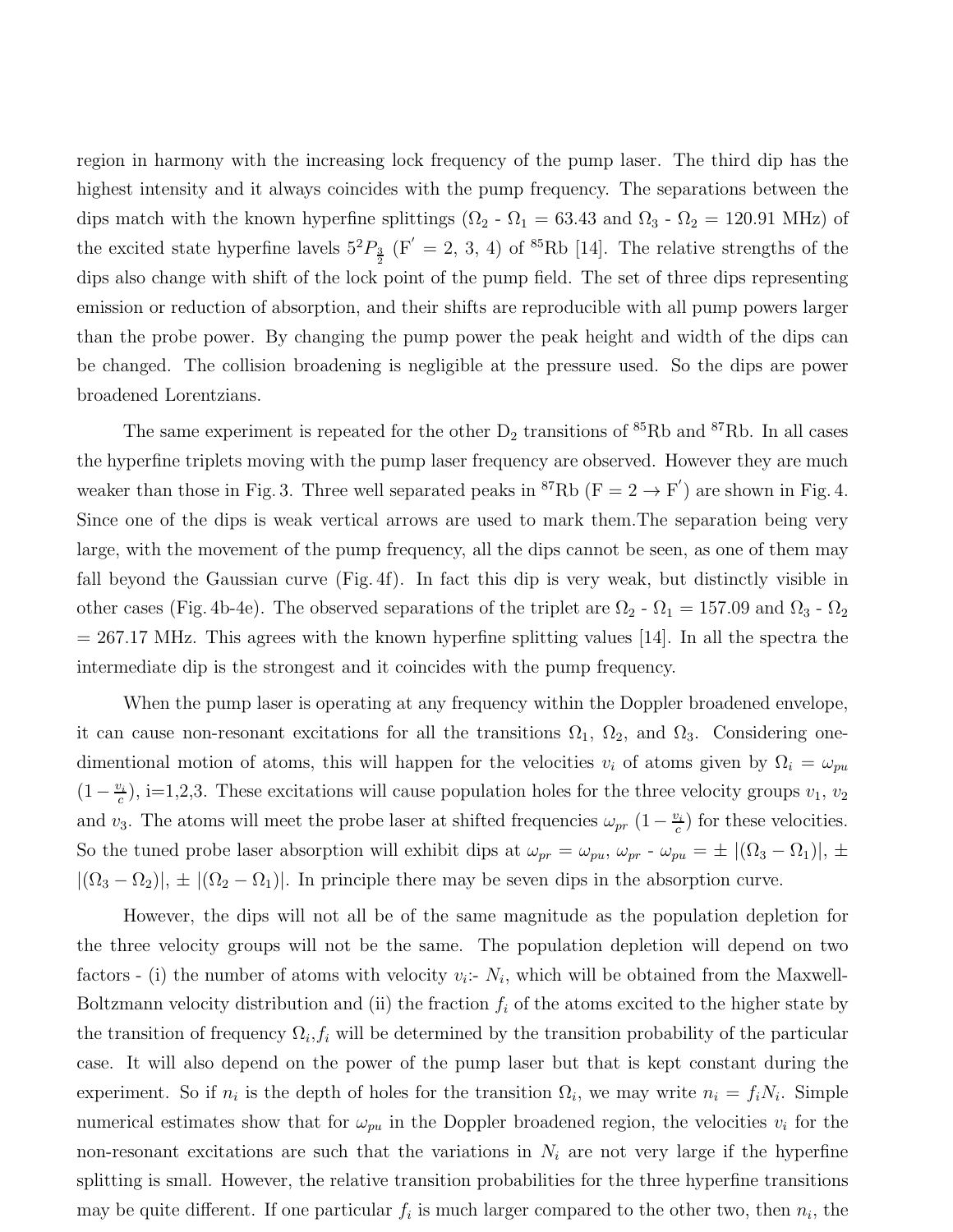region in harmony with the increasing lock frequency of the pump laser. The third dip has the highest intensity and it always coincides with the pump frequency. The separations between the dips match with the known hyperfine splittings ( $\Omega_2$  -  $\Omega_1$  = 63.43 and  $\Omega_3$  -  $\Omega_2$  = 120.91 MHz) of the excited state hyperfine lavels  $5^2P_{\frac{3}{2}}$  (F' = 2, 3, 4) of <sup>85</sup>Rb [14]. The relative strengths of the dips also change with shift of the lock point of the pump field. The set of three dips representing emission or reduction of absorption, and their shifts are reproducible with all pump powers larger than the probe power. By changing the pump power the peak height and width of the dips can be changed. The collision broadening is negligible at the pressure used. So the dips are power broadened Lorentzians.

The same experiment is repeated for the other  $D_2$  transitions of  ${}^{85}Rb$  and  ${}^{87}Rb$ . In all cases the hyperfine triplets moving with the pump laser frequency are observed. However they are much weaker than those in Fig. 3. Three well separated peaks in <sup>87</sup>Rb ( $F = 2 \rightarrow F'$ ) are shown in Fig. 4. Since one of the dips is weak vertical arrows are used to mark them.The separation being very large, with the movement of the pump frequency, all the dips cannot be seen, as one of them may fall beyond the Gaussian curve (Fig. 4f). In fact this dip is very weak, but distinctly visible in other cases (Fig. 4b-4e). The observed separations of the triplet are  $\Omega_2$  -  $\Omega_1 = 157.09$  and  $\Omega_3$  -  $\Omega_2$  $= 267.17$  MHz. This agrees with the known hyperfine splitting values [14]. In all the spectra the intermediate dip is the strongest and it coincides with the pump frequency.

When the pump laser is operating at any frequency within the Doppler broadened envelope, it can cause non-resonant excitations for all the transitions  $\Omega_1$ ,  $\Omega_2$ , and  $\Omega_3$ . Considering onedimentional motion of atoms, this will happen for the velocities  $v_i$  of atoms given by  $\Omega_i = \omega_{pu}$  $(1-\frac{v_i}{c})$  $(c_i, c_i)$ , i=1,2,3. These excitations will cause population holes for the three velocity groups  $v_1, v_2$ and v<sub>3</sub>. The atoms will meet the probe laser at shifted frequencies  $\omega_{pr}$  (1 –  $\frac{v_i}{c}$  $c_i^{y_i}$ ) for these velocities. So the tuned probe laser absorption will exhibit dips at  $\omega_{pr} = \omega_{pu}$ ,  $\omega_{pr} - \omega_{pu} = \pm |(\Omega_3 - \Omega_1)|$ ,  $\pm$  $|(\Omega_3 - \Omega_2)|$ ,  $\pm |(\Omega_2 - \Omega_1)|$ . In principle there may be seven dips in the absorption curve.

However, the dips will not all be of the same magnitude as the population depletion for the three velocity groups will not be the same. The population depletion will depend on two factors - (i) the number of atoms with velocity  $v_i$ :-  $N_i$ , which will be obtained from the Maxwell-Boltzmann velocity distribution and (ii) the fraction  $f_i$  of the atoms excited to the higher state by the transition of frequency  $\Omega_i, f_i$  will be determined by the transition probability of the particular case. It will also depend on the power of the pump laser but that is kept constant during the experiment. So if  $n_i$  is the depth of holes for the transition  $\Omega_i$ , we may write  $n_i = f_i N_i$ . Simple numerical estimates show that for  $\omega_{pu}$  in the Doppler broadened region, the velocities  $v_i$  for the non-resonant excitations are such that the variations in  $N_i$  are not very large if the hyperfine splitting is small. However, the relative transition probabilities for the three hyperfine transitions may be quite different. If one particular  $f_i$  is much larger compared to the other two, then  $n_i$ , the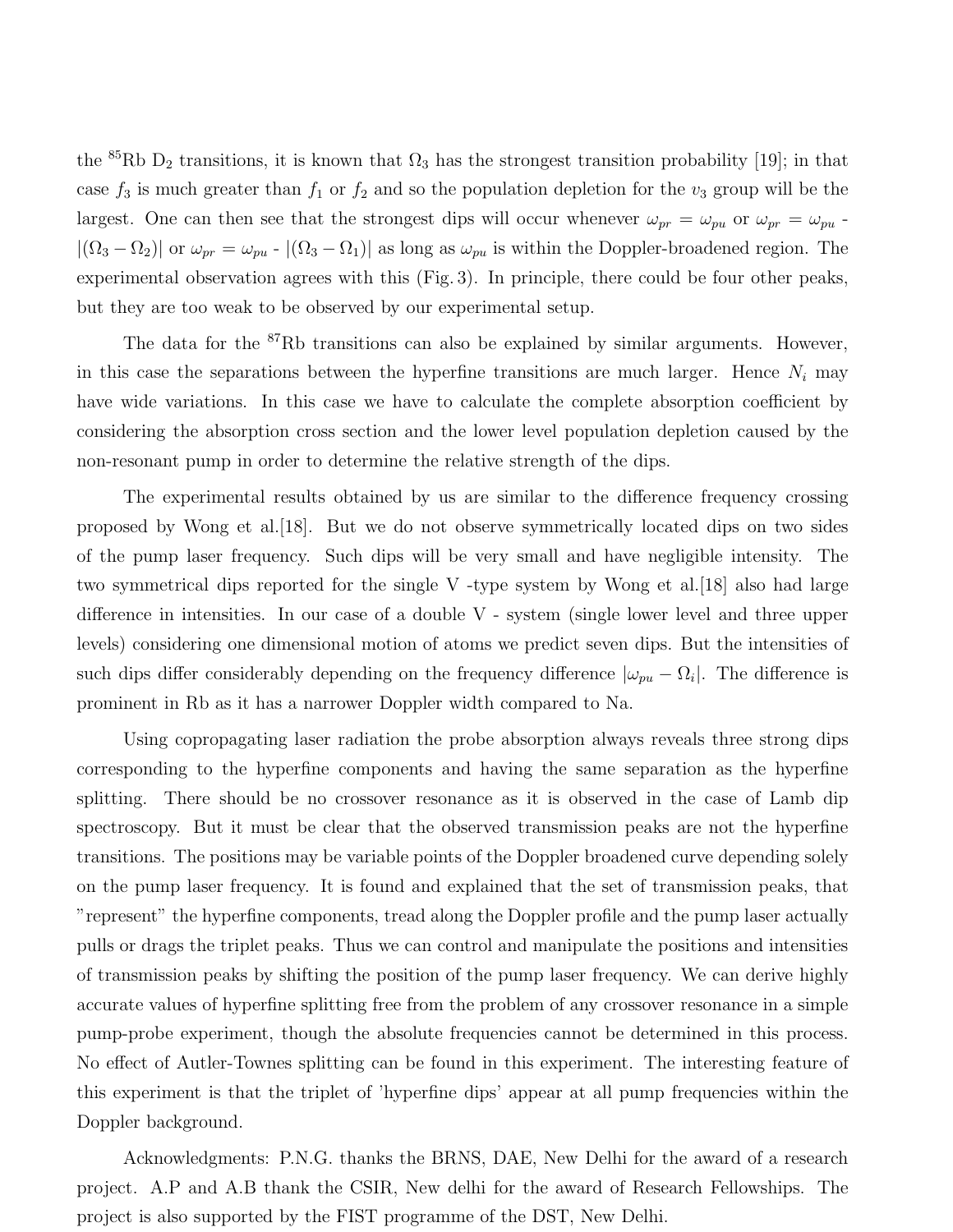the <sup>85</sup>Rb D<sub>2</sub> transitions, it is known that  $\Omega_3$  has the strongest transition probability [19]; in that case  $f_3$  is much greater than  $f_1$  or  $f_2$  and so the population depletion for the  $v_3$  group will be the largest. One can then see that the strongest dips will occur whenever  $\omega_{pr} = \omega_{pu}$  or  $\omega_{pr} = \omega_{pu}$ .  $|(\Omega_3 - \Omega_2)|$  or  $\omega_{pr} = \omega_{pu}$  -  $|(\Omega_3 - \Omega_1)|$  as long as  $\omega_{pu}$  is within the Doppler-broadened region. The experimental observation agrees with this (Fig. 3). In principle, there could be four other peaks, but they are too weak to be observed by our experimental setup.

The data for the <sup>87</sup>Rb transitions can also be explained by similar arguments. However, in this case the separations between the hyperfine transitions are much larger. Hence  $N_i$  may have wide variations. In this case we have to calculate the complete absorption coefficient by considering the absorption cross section and the lower level population depletion caused by the non-resonant pump in order to determine the relative strength of the dips.

The experimental results obtained by us are similar to the difference frequency crossing proposed by Wong et al.[18]. But we do not observe symmetrically located dips on two sides of the pump laser frequency. Such dips will be very small and have negligible intensity. The two symmetrical dips reported for the single V -type system by Wong et al.[18] also had large difference in intensities. In our case of a double V - system (single lower level and three upper levels) considering one dimensional motion of atoms we predict seven dips. But the intensities of such dips differ considerably depending on the frequency difference  $|\omega_{pu} - \Omega_i|$ . The difference is prominent in Rb as it has a narrower Doppler width compared to Na.

Using copropagating laser radiation the probe absorption always reveals three strong dips corresponding to the hyperfine components and having the same separation as the hyperfine splitting. There should be no crossover resonance as it is observed in the case of Lamb dip spectroscopy. But it must be clear that the observed transmission peaks are not the hyperfine transitions. The positions may be variable points of the Doppler broadened curve depending solely on the pump laser frequency. It is found and explained that the set of transmission peaks, that "represent" the hyperfine components, tread along the Doppler profile and the pump laser actually pulls or drags the triplet peaks. Thus we can control and manipulate the positions and intensities of transmission peaks by shifting the position of the pump laser frequency. We can derive highly accurate values of hyperfine splitting free from the problem of any crossover resonance in a simple pump-probe experiment, though the absolute frequencies cannot be determined in this process. No effect of Autler-Townes splitting can be found in this experiment. The interesting feature of this experiment is that the triplet of 'hyperfine dips' appear at all pump frequencies within the Doppler background.

Acknowledgments: P.N.G. thanks the BRNS, DAE, New Delhi for the award of a research project. A.P and A.B thank the CSIR, New delhi for the award of Research Fellowships. The project is also supported by the FIST programme of the DST, New Delhi.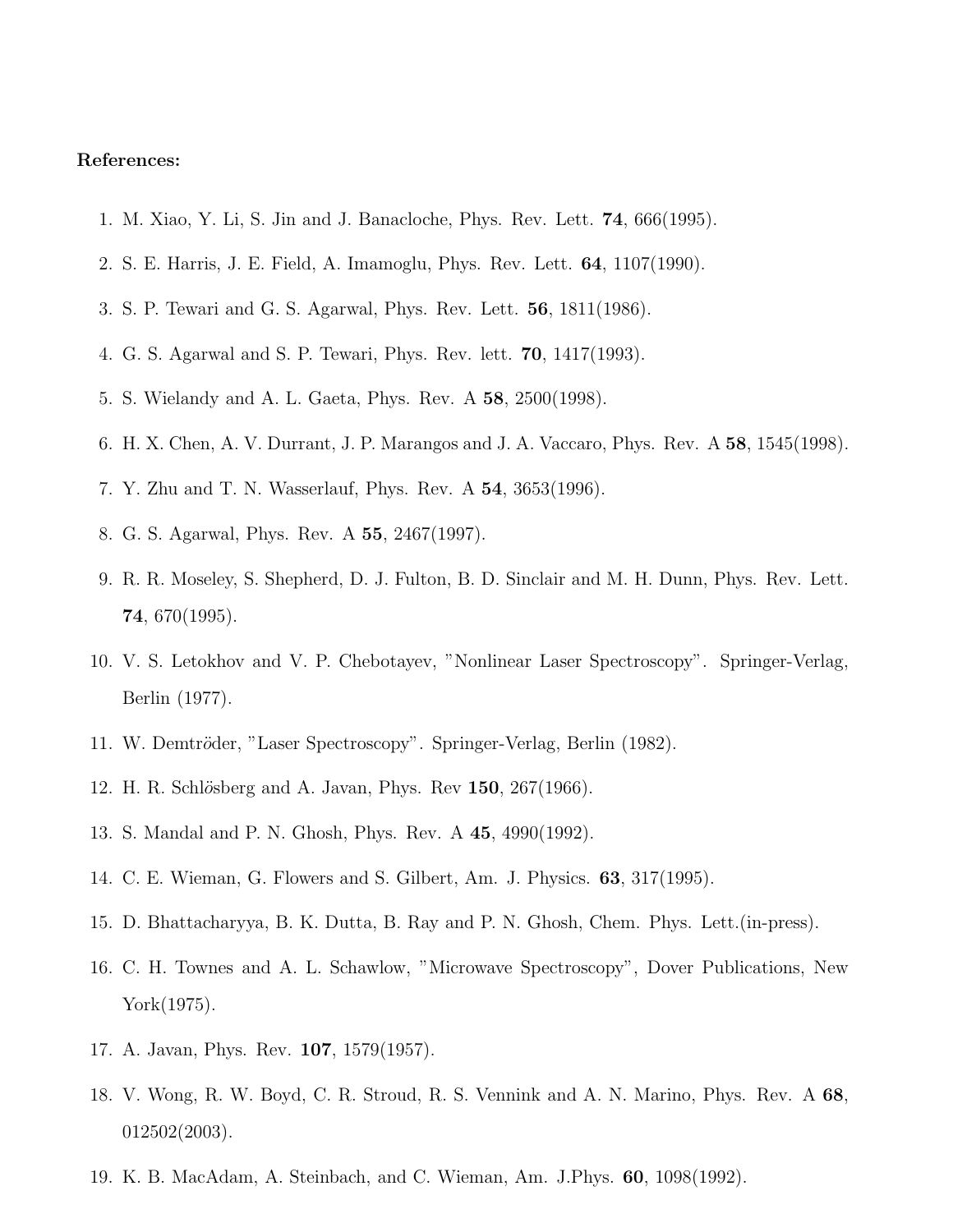## References:

- 1. M. Xiao, Y. Li, S. Jin and J. Banacloche, Phys. Rev. Lett. 74, 666(1995).
- 2. S. E. Harris, J. E. Field, A. Imamoglu, Phys. Rev. Lett. 64, 1107(1990).
- 3. S. P. Tewari and G. S. Agarwal, Phys. Rev. Lett. 56, 1811(1986).
- 4. G. S. Agarwal and S. P. Tewari, Phys. Rev. lett. 70, 1417(1993).
- 5. S. Wielandy and A. L. Gaeta, Phys. Rev. A 58, 2500(1998).
- 6. H. X. Chen, A. V. Durrant, J. P. Marangos and J. A. Vaccaro, Phys. Rev. A 58, 1545(1998).
- 7. Y. Zhu and T. N. Wasserlauf, Phys. Rev. A 54, 3653(1996).
- 8. G. S. Agarwal, Phys. Rev. A 55, 2467(1997).
- 9. R. R. Moseley, S. Shepherd, D. J. Fulton, B. D. Sinclair and M. H. Dunn, Phys. Rev. Lett. 74, 670(1995).
- 10. V. S. Letokhov and V. P. Chebotayev, "Nonlinear Laser Spectroscopy". Springer-Verlag, Berlin (1977).
- 11. W. Demtröder, "Laser Spectroscopy". Springer-Verlag, Berlin (1982).
- 12. H. R. Schlösberg and A. Javan, Phys. Rev 150, 267(1966).
- 13. S. Mandal and P. N. Ghosh, Phys. Rev. A 45, 4990(1992).
- 14. C. E. Wieman, G. Flowers and S. Gilbert, Am. J. Physics. 63, 317(1995).
- 15. D. Bhattacharyya, B. K. Dutta, B. Ray and P. N. Ghosh, Chem. Phys. Lett.(in-press).
- 16. C. H. Townes and A. L. Schawlow, "Microwave Spectroscopy", Dover Publications, New York(1975).
- 17. A. Javan, Phys. Rev. 107, 1579(1957).
- 18. V. Wong, R. W. Boyd, C. R. Stroud, R. S. Vennink and A. N. Marino, Phys. Rev. A 68, 012502(2003).
- 19. K. B. MacAdam, A. Steinbach, and C. Wieman, Am. J.Phys. 60, 1098(1992).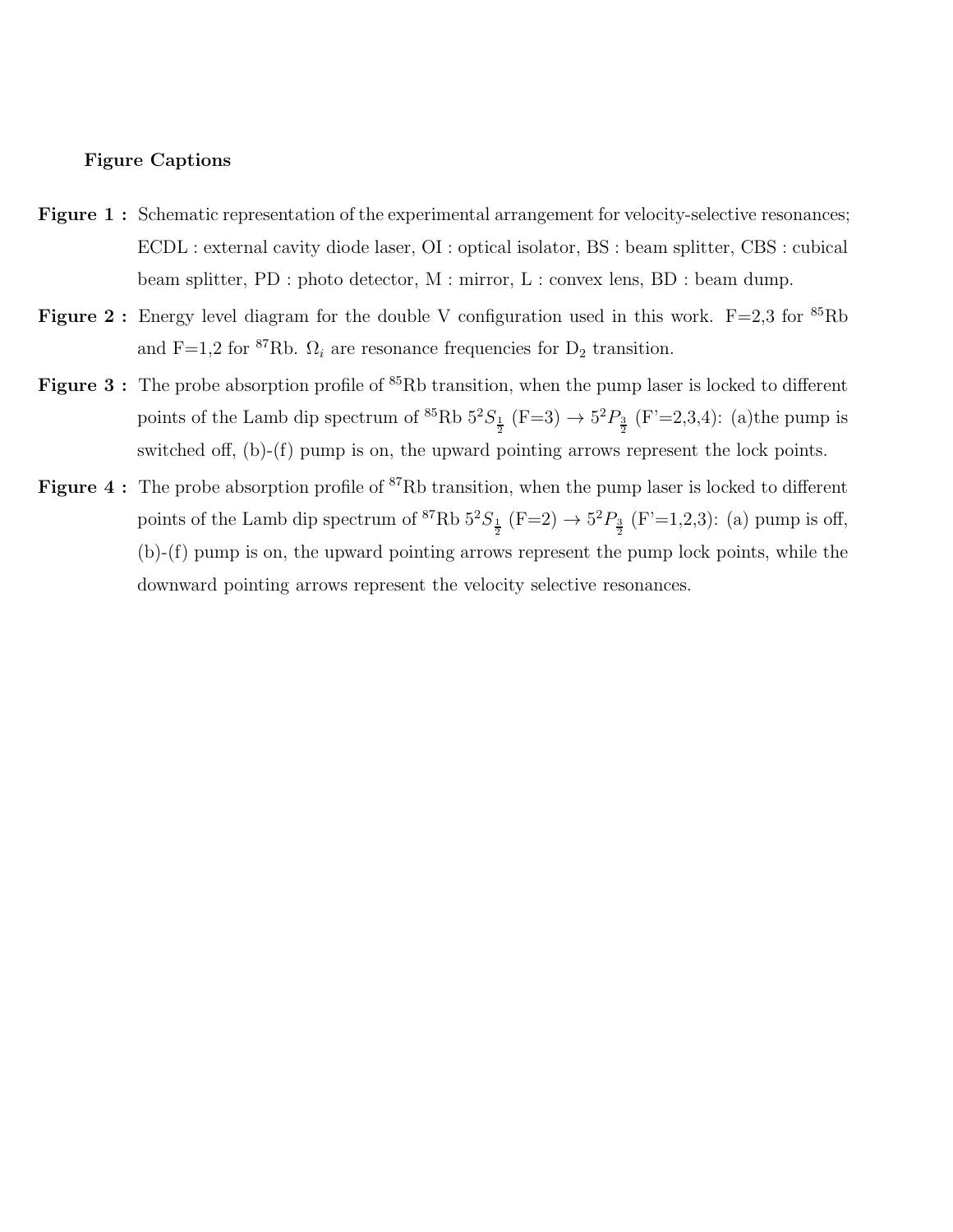## Figure Captions

- Figure 1: Schematic representation of the experimental arrangement for velocity-selective resonances; ECDL : external cavity diode laser, OI : optical isolator, BS : beam splitter, CBS : cubical beam splitter, PD : photo detector, M : mirror, L : convex lens, BD : beam dump.
- **Figure 2:** Energy level diagram for the double V configuration used in this work.  $F=2.3$  for  ${}^{85}Rb$ and F=1,2 for <sup>87</sup>Rb.  $\Omega_i$  are resonance frequencies for  $D_2$  transition.
- **Figure 3**: The probe absorption profile of  ${}^{85}$ Rb transition, when the pump laser is locked to different points of the Lamb dip spectrum of <sup>85</sup>Rb  $5^2S_{\frac{1}{2}}$  (F=3)  $\rightarrow 5^2P_{\frac{3}{2}}$  (F'=2,3,4): (a) the pump is switched off, (b)-(f) pump is on, the upward pointing arrows represent the lock points.
- **Figure 4** : The probe absorption profile of  ${}^{87}$ Rb transition, when the pump laser is locked to different points of the Lamb dip spectrum of <sup>87</sup>Rb  $5^2S_{\frac{1}{2}}$  (F=2)  $\rightarrow 5^2P_{\frac{3}{2}}$  (F'=1,2,3): (a) pump is off, (b)-(f) pump is on, the upward pointing arrows represent the pump lock points, while the downward pointing arrows represent the velocity selective resonances.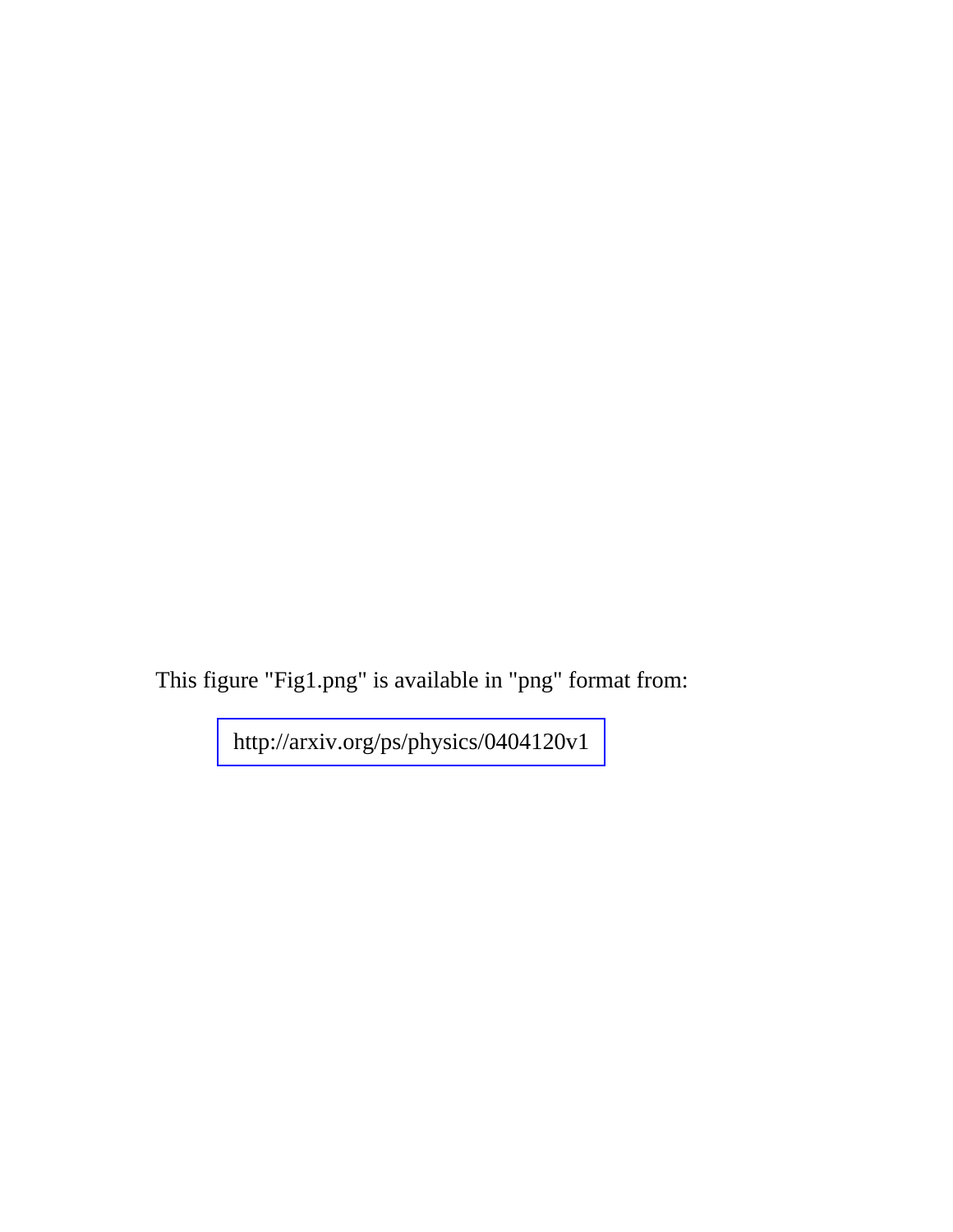This figure "Fig1.png" is available in "png" format from: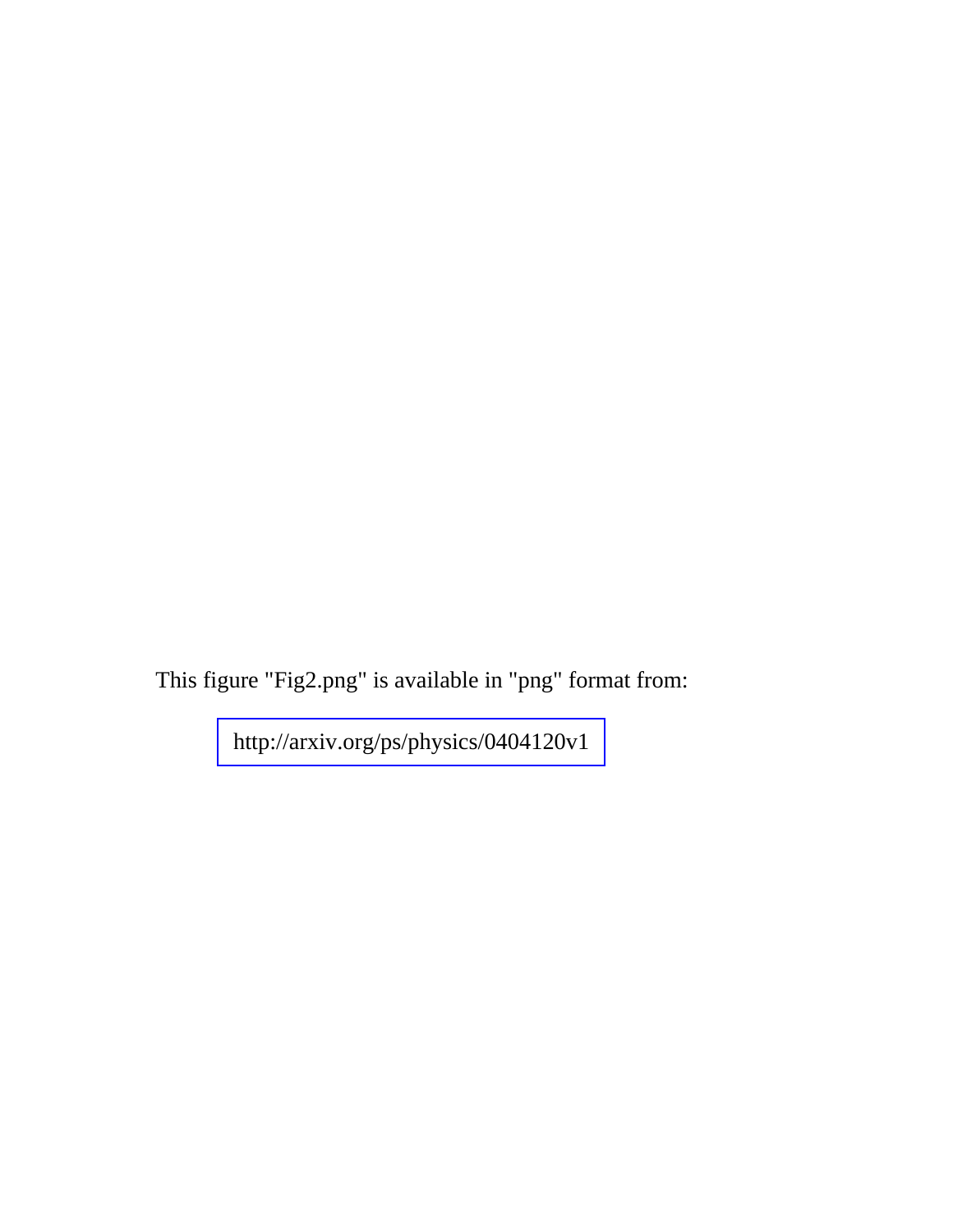This figure "Fig2.png" is available in "png" format from: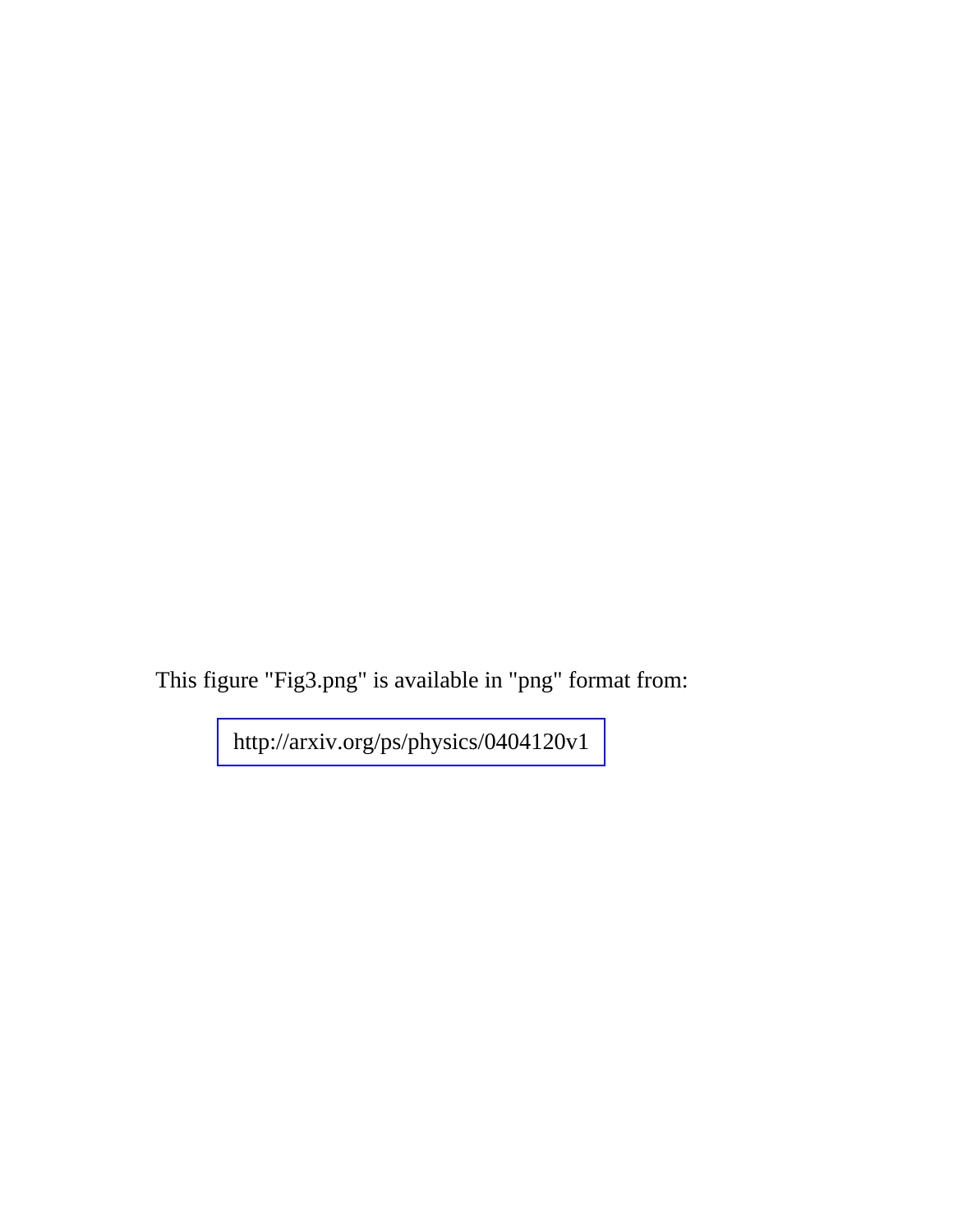This figure "Fig3.png" is available in "png" format from: